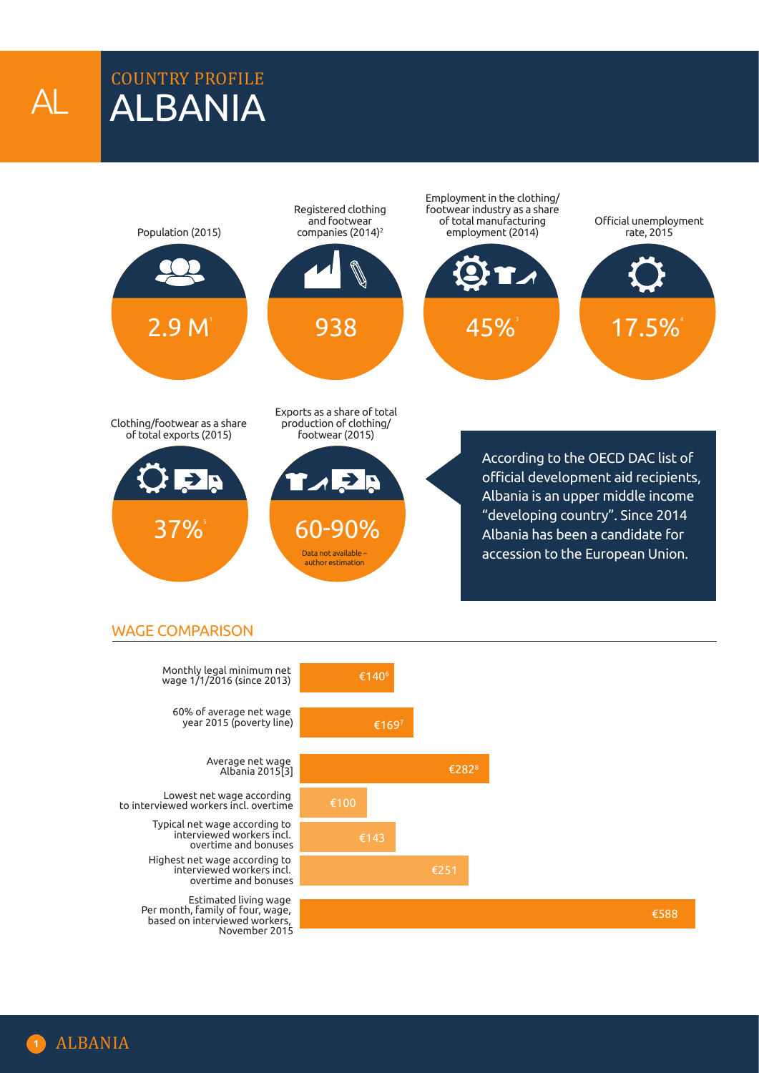COUNTRY PROFILE ALBANIA

AL



## WAGE COMPARISON

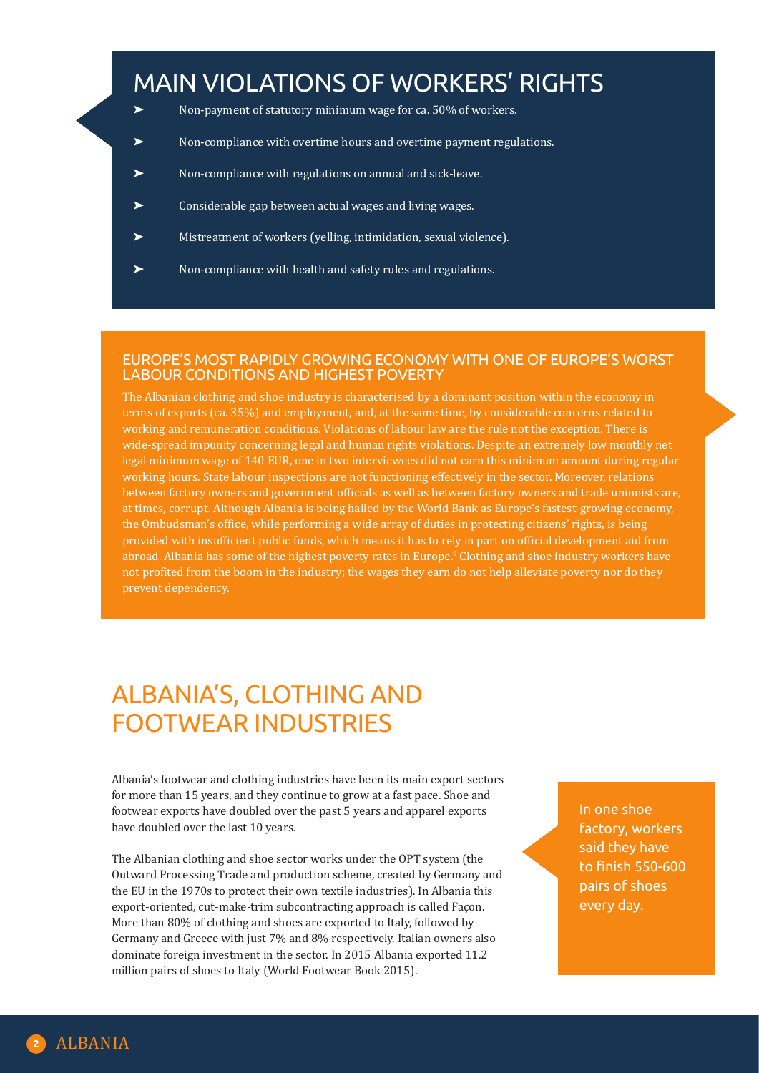## MAIN VIOLATIONS OF WORKERS' RIGHTS

- Non-payment of statutory minimum wage for ca. 50% of workers.
- Non-compliance with overtime hours and overtime payment regulations.
- ➤ Non-compliance with regulations on annual and sick-leave.
- Considerable gap between actual wages and living wages.
- ➤ Mistreatment of workers (yelling, intimidation, sexual violence).
- ➤ Non-compliance with health and safety rules and regulations.

### EUROPE'S MOST RAPIDLY GROWING ECONOMY WITH ONE OF EUROPE'S WORST LABOUR CONDITIONS AND HIGHEST POVERTY

The Albanian clothing and shoe industry is characterised by a dominant position within the economy in terms of exports (ca. 35%) and employment, and, at the same time, by considerable concerns related to working and remuneration conditions. Violations of labour law are the rule not the exception. There is wide-spread impunity concerning legal and human rights violations. Despite an extremely low monthly net legal minimum wage of 140 EUR, one in two interviewees did not earn this minimum amount during regular working hours. State labour inspections are not functioning effectively in the sector. Moreover, relations between factory owners and government officials as well as between factory owners and trade unionists are, at times, corrupt. Although Albania is being hailed by the World Bank as Europe's fastest-growing economy, the Ombudsman's office, while performing a wide array of duties in protecting citizens' rights, is being provided with insufficient public funds, which means it has to rely in part on official development aid from abroad. Albania has some of the highest poverty rates in Europe.9 Clothing and shoe industry workers have not profited from the boom in the industry; the wages they earn do not help alleviate poverty nor do they prevent dependency.

## ALBANIA'S, CLOTHING AND FOOTWEAR INDUSTRIES

Albania's footwear and clothing industries have been its main export sectors for more than 15 years, and they continue to grow at a fast pace. Shoe and footwear exports have doubled over the past 5 years and apparel exports have doubled over the last 10 years.

The Albanian clothing and shoe sector works under the OPT system (the Outward Processing Trade and production scheme, created by Germany and the EU in the 1970s to protect their own textile industries). In Albania this export-oriented, cut-make-trim subcontracting approach is called Façon. More than 80% of clothing and shoes are exported to Italy, followed by Germany and Greece with just 7% and 8% respectively. Italian owners also dominate foreign investment in the sector. In 2015 Albania exported 11.2 million pairs of shoes to Italy (World Footwear Book 2015).

In one shoe factory, workers said they have to finish 550-600 pairs of shoes every day.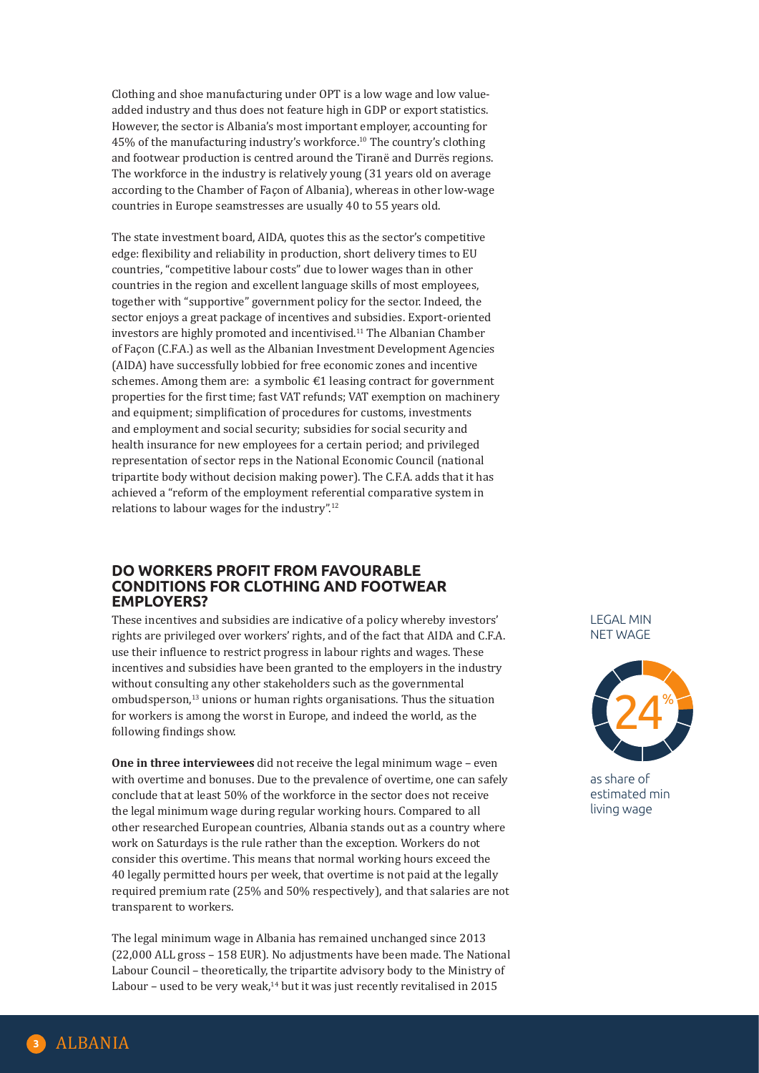Clothing and shoe manufacturing under OPT is a low wage and low valueadded industry and thus does not feature high in GDP or export statistics. However, the sector is Albania's most important employer, accounting for 45% of the manufacturing industry's workforce.<sup>10</sup> The country's clothing and footwear production is centred around the Tiranë and Durrës regions. The workforce in the industry is relatively young (31 years old on average according to the Chamber of Façon of Albania), whereas in other low-wage countries in Europe seamstresses are usually 40 to 55 years old.

The state investment board, AIDA, quotes this as the sector's competitive edge: flexibility and reliability in production, short delivery times to EU countries, "competitive labour costs" due to lower wages than in other countries in the region and excellent language skills of most employees, together with "supportive" government policy for the sector. Indeed, the sector enjoys a great package of incentives and subsidies. Export-oriented investors are highly promoted and incentivised.<sup>11</sup> The Albanian Chamber of Façon (C.F.A.) as well as the Albanian Investment Development Agencies (AIDA) have successfully lobbied for free economic zones and incentive schemes. Among them are: a symbolic  $\epsilon$ 1 leasing contract for government properties for the first time; fast VAT refunds; VAT exemption on machinery and equipment; simplification of procedures for customs, investments and employment and social security; subsidies for social security and health insurance for new employees for a certain period; and privileged representation of sector reps in the National Economic Council (national tripartite body without decision making power). The C.F.A. adds that it has achieved a "reform of the employment referential comparative system in relations to labour wages for the industry".12

#### **DO WORKERS PROFIT FROM FAVOURABLE CONDITIONS FOR CLOTHING AND FOOTWEAR EMPLOYERS?**

These incentives and subsidies are indicative of a policy whereby investors' rights are privileged over workers' rights, and of the fact that AIDA and C.F.A. use their influence to restrict progress in labour rights and wages. These incentives and subsidies have been granted to the employers in the industry without consulting any other stakeholders such as the governmental ombudsperson,<sup>13</sup> unions or human rights organisations. Thus the situation for workers is among the worst in Europe, and indeed the world, as the following findings show.

**One in three interviewees** did not receive the legal minimum wage – even with overtime and bonuses. Due to the prevalence of overtime, one can safely conclude that at least 50% of the workforce in the sector does not receive the legal minimum wage during regular working hours. Compared to all other researched European countries, Albania stands out as a country where work on Saturdays is the rule rather than the exception. Workers do not consider this overtime. This means that normal working hours exceed the 40 legally permitted hours per week, that overtime is not paid at the legally required premium rate (25% and 50% respectively), and that salaries are not transparent to workers.

The legal minimum wage in Albania has remained unchanged since 2013 (22,000 ALL gross – 158 EUR). No adjustments have been made. The National Labour Council – theoretically, the tripartite advisory body to the Ministry of Labour – used to be very weak, $14$  but it was just recently revitalised in 2015

LEGAL MIN NET WAGE



as share of estimated min living wage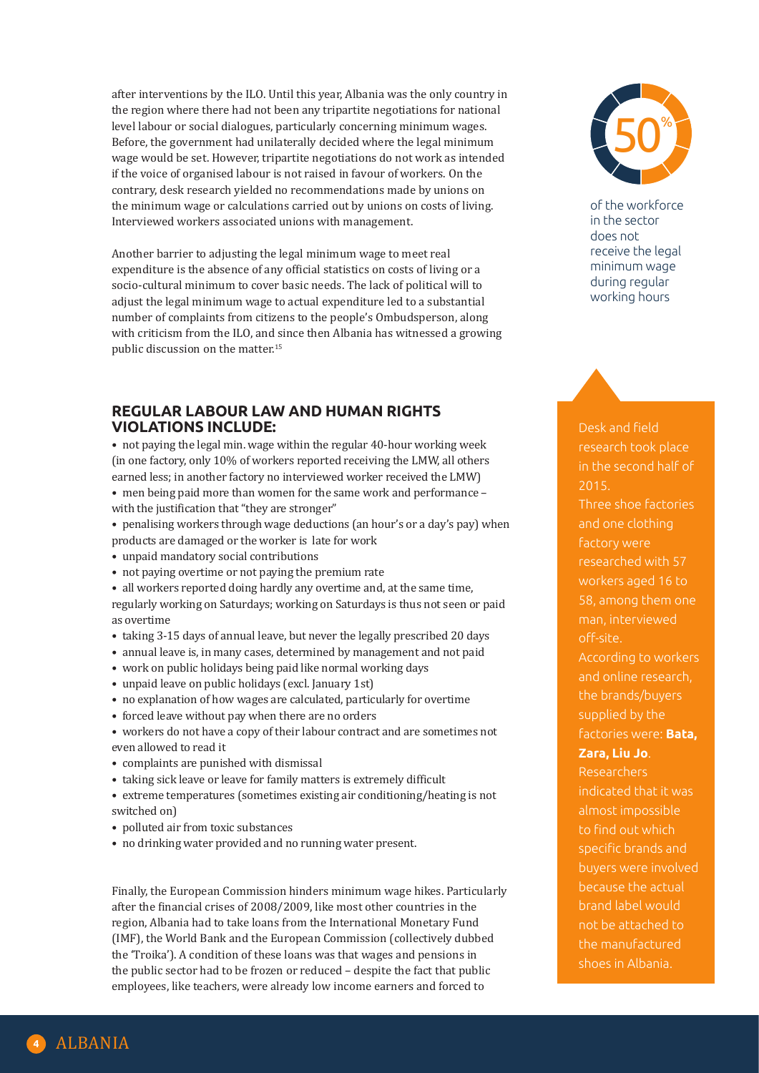after interventions by the ILO. Until this year, Albania was the only country in the region where there had not been any tripartite negotiations for national level labour or social dialogues, particularly concerning minimum wages. Before, the government had unilaterally decided where the legal minimum wage would be set. However, tripartite negotiations do not work as intended if the voice of organised labour is not raised in favour of workers. On the contrary, desk research yielded no recommendations made by unions on the minimum wage or calculations carried out by unions on costs of living. Interviewed workers associated unions with management.

Another barrier to adjusting the legal minimum wage to meet real expenditure is the absence of any official statistics on costs of living or a socio-cultural minimum to cover basic needs. The lack of political will to adjust the legal minimum wage to actual expenditure led to a substantial number of complaints from citizens to the people's Ombudsperson, along with criticism from the ILO, and since then Albania has witnessed a growing public discussion on the matter.15

### **REGULAR LABOUR LAW AND HUMAN RIGHTS VIOLATIONS INCLUDE:**

• not paying the legal min. wage within the regular 40-hour working week (in one factory, only 10% of workers reported receiving the LMW, all others earned less; in another factory no interviewed worker received the LMW)

- men being paid more than women for the same work and performance with the justification that "they are stronger"
- penalising workers through wage deductions (an hour's or a day's pay) when products are damaged or the worker is late for work
- unpaid mandatory social contributions
- not paying overtime or not paying the premium rate
- all workers reported doing hardly any overtime and, at the same time,

regularly working on Saturdays; working on Saturdays is thus not seen or paid as overtime

- taking 3-15 days of annual leave, but never the legally prescribed 20 days
- annual leave is, in many cases, determined by management and not paid
- work on public holidays being paid like normal working days
- unpaid leave on public holidays (excl. January 1st)
- no explanation of how wages are calculated, particularly for overtime
- forced leave without pay when there are no orders

• workers do not have a copy of their labour contract and are sometimes not even allowed to read it

- complaints are punished with dismissal
- taking sick leave or leave for family matters is extremely difficult

• extreme temperatures (sometimes existing air conditioning/heating is not switched on)

- polluted air from toxic substances
- no drinking water provided and no running water present.

Finally, the European Commission hinders minimum wage hikes. Particularly after the financial crises of 2008/2009, like most other countries in the region, Albania had to take loans from the International Monetary Fund (IMF), the World Bank and the European Commission (collectively dubbed the 'Troika'). A condition of these loans was that wages and pensions in the public sector had to be frozen or reduced – despite the fact that public employees, like teachers, were already low income earners and forced to



of the workforce in the sector does not receive the legal minimum wage during regular working hours

Desk and field research took place 2015. Three shoe factories and one clothing factory were researched with 57 workers aged 16 to 58, among them one man, interviewed off-site. According to workers and online research, the brands/buyers supplied by the factories were: **Bata, Zara, Liu Jo**. Researchers indicated that it was almost impossible to find out which specific brands and buyers were involved because the actual brand label would not be attached to the manufactured shoes in Albania.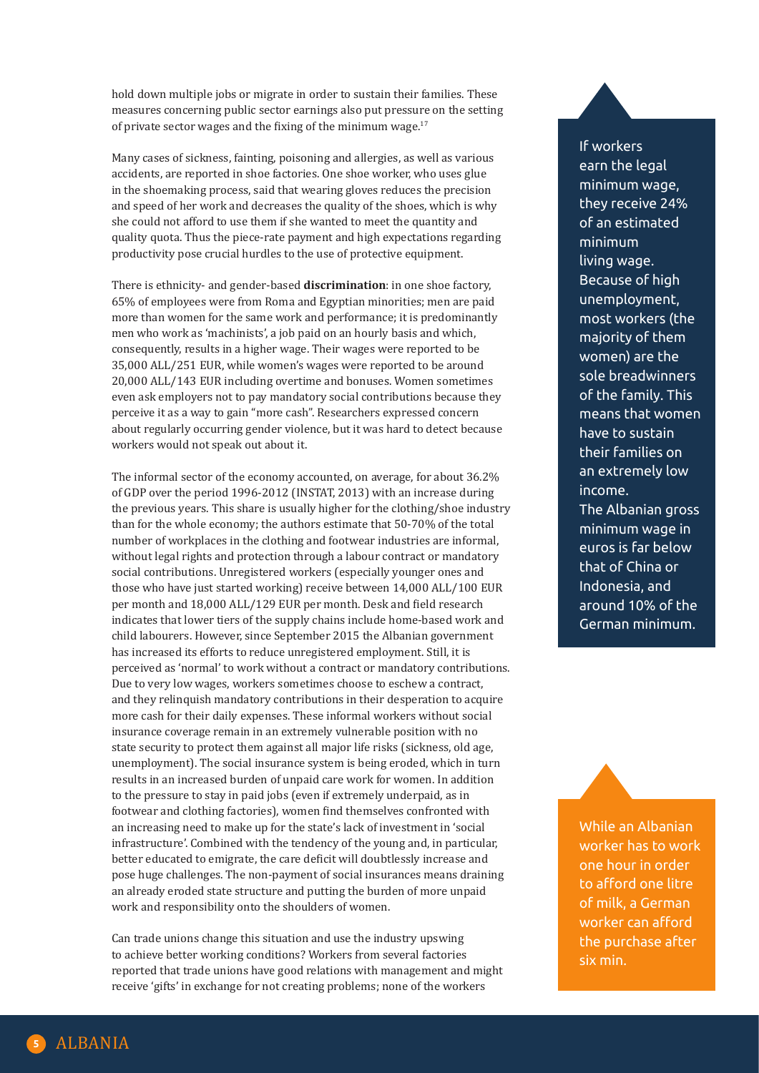hold down multiple jobs or migrate in order to sustain their families. These measures concerning public sector earnings also put pressure on the setting of private sector wages and the fixing of the minimum wage. $17$ 

Many cases of sickness, fainting, poisoning and allergies, as well as various accidents, are reported in shoe factories. One shoe worker, who uses glue in the shoemaking process, said that wearing gloves reduces the precision and speed of her work and decreases the quality of the shoes, which is why she could not afford to use them if she wanted to meet the quantity and quality quota. Thus the piece-rate payment and high expectations regarding productivity pose crucial hurdles to the use of protective equipment.

There is ethnicity- and gender-based **discrimination**: in one shoe factory, 65% of employees were from Roma and Egyptian minorities; men are paid more than women for the same work and performance; it is predominantly men who work as 'machinists', a job paid on an hourly basis and which, consequently, results in a higher wage. Their wages were reported to be 35,000 ALL/251 EUR, while women's wages were reported to be around 20,000 ALL/143 EUR including overtime and bonuses. Women sometimes even ask employers not to pay mandatory social contributions because they perceive it as a way to gain "more cash". Researchers expressed concern about regularly occurring gender violence, but it was hard to detect because workers would not speak out about it.

The informal sector of the economy accounted, on average, for about 36.2% of GDP over the period 1996-2012 (INSTAT, 2013) with an increase during the previous years. This share is usually higher for the clothing/shoe industry than for the whole economy; the authors estimate that 50-70% of the total number of workplaces in the clothing and footwear industries are informal, without legal rights and protection through a labour contract or mandatory social contributions. Unregistered workers (especially younger ones and those who have just started working) receive between 14,000 ALL/100 EUR per month and 18,000 ALL/129 EUR per month. Desk and field research indicates that lower tiers of the supply chains include home-based work and child labourers. However, since September 2015 the Albanian government has increased its efforts to reduce unregistered employment. Still, it is perceived as 'normal' to work without a contract or mandatory contributions. Due to very low wages, workers sometimes choose to eschew a contract, and they relinquish mandatory contributions in their desperation to acquire more cash for their daily expenses. These informal workers without social insurance coverage remain in an extremely vulnerable position with no state security to protect them against all major life risks (sickness, old age, unemployment). The social insurance system is being eroded, which in turn results in an increased burden of unpaid care work for women. In addition to the pressure to stay in paid jobs (even if extremely underpaid, as in footwear and clothing factories), women find themselves confronted with an increasing need to make up for the state's lack of investment in 'social infrastructure'. Combined with the tendency of the young and, in particular, better educated to emigrate, the care deficit will doubtlessly increase and pose huge challenges. The non-payment of social insurances means draining an already eroded state structure and putting the burden of more unpaid work and responsibility onto the shoulders of women.

Can trade unions change this situation and use the industry upswing to achieve better working conditions? Workers from several factories reported that trade unions have good relations with management and might receive 'gifts' in exchange for not creating problems; none of the workers

If workers earn the legal minimum wage, they receive 24% of an estimated minimum living wage. Because of high unemployment, most workers (the majority of them women) are the sole breadwinners of the family. This means that women have to sustain their families on an extremely low income. The Albanian gross minimum wage in euros is far below that of China or Indonesia, and around 10% of the German minimum.

While an Albanian worker has to work one hour in order to afford one litre of milk, a German worker can afford the purchase after six min.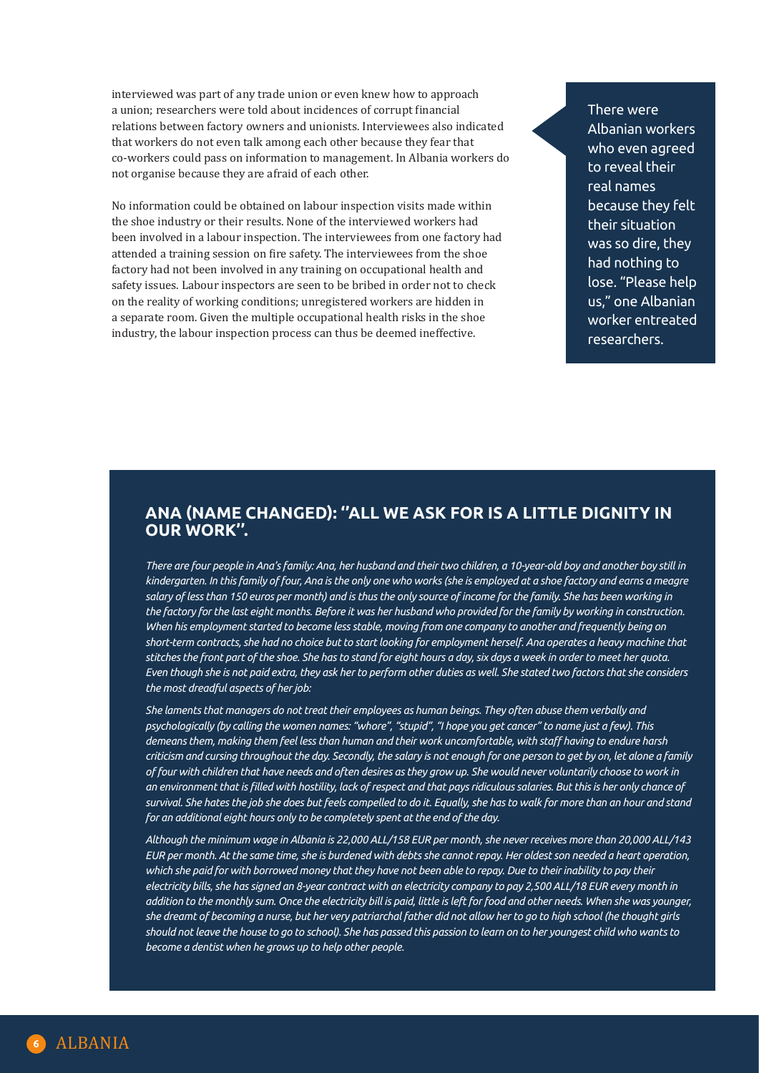interviewed was part of any trade union or even knew how to approach a union; researchers were told about incidences of corrupt financial relations between factory owners and unionists. Interviewees also indicated that workers do not even talk among each other because they fear that co-workers could pass on information to management. In Albania workers do not organise because they are afraid of each other.

No information could be obtained on labour inspection visits made within the shoe industry or their results. None of the interviewed workers had been involved in a labour inspection. The interviewees from one factory had attended a training session on fire safety. The interviewees from the shoe factory had not been involved in any training on occupational health and safety issues. Labour inspectors are seen to be bribed in order not to check on the reality of working conditions; unregistered workers are hidden in a separate room. Given the multiple occupational health risks in the shoe industry, the labour inspection process can thus be deemed ineffective.

There were Albanian workers who even agreed to reveal their real names because they felt their situation was so dire, they had nothing to lose. "Please help us," one Albanian worker entreated researchers.

## **ANA (NAME CHANGED): ''ALL WE ASK FOR IS A LITTLE DIGNITY IN OUR WORK".**

*There are four people in Ana's family: Ana, her husband and their two children, a 10-year-old boy and another boy still in kindergarten. In this family of four, Ana is the only one who works (she is employed at a shoe factory and earns a meagre salary of less than 150 euros per month) and is thus the only source of income for the family. She has been working in the factory for the last eight months. Before it was her husband who provided for the family by working in construction. When his employment started to become less stable, moving from one company to another and frequently being on short-term contracts, she had no choice but to start looking for employment herself. Ana operates a heavy machine that stitches the front part of the shoe. She has to stand for eight hours a day, six days a week in order to meet her quota. Even though she is not paid extra, they ask her to perform other duties as well. She stated two factors that she considers the most dreadful aspects of her job:* 

*She laments that managers do not treat their employees as human beings. They often abuse them verbally and psychologically (by calling the women names: "whore", "stupid", "I hope you get cancer" to name just a few). This demeans them, making them feel less than human and their work uncomfortable, with staff having to endure harsh criticism and cursing throughout the day. Secondly, the salary is not enough for one person to get by on, let alone a family of four with children that have needs and often desires as they grow up. She would never voluntarily choose to work in an environment that is filled with hostility, lack of respect and that pays ridiculous salaries. But this is her only chance of survival. She hates the job she does but feels compelled to do it. Equally, she has to walk for more than an hour and stand for an additional eight hours only to be completely spent at the end of the day.* 

*Although the minimum wage in Albania is 22,000 ALL/158 EUR per month, she never receives more than 20,000 ALL/143 EUR per month. At the same time, she is burdened with debts she cannot repay. Her oldest son needed a heart operation,*  which she paid for with borrowed money that they have not been able to repay. Due to their inability to pay their *electricity bills, she has signed an 8-year contract with an electricity company to pay 2,500 ALL/18 EUR every month in addition to the monthly sum. Once the electricity bill is paid, little is left for food and other needs. When she was younger, she dreamt of becoming a nurse, but her very patriarchal father did not allow her to go to high school (he thought girls should not leave the house to go to school). She has passed this passion to learn on to her youngest child who wants to become a dentist when he grows up to help other people.*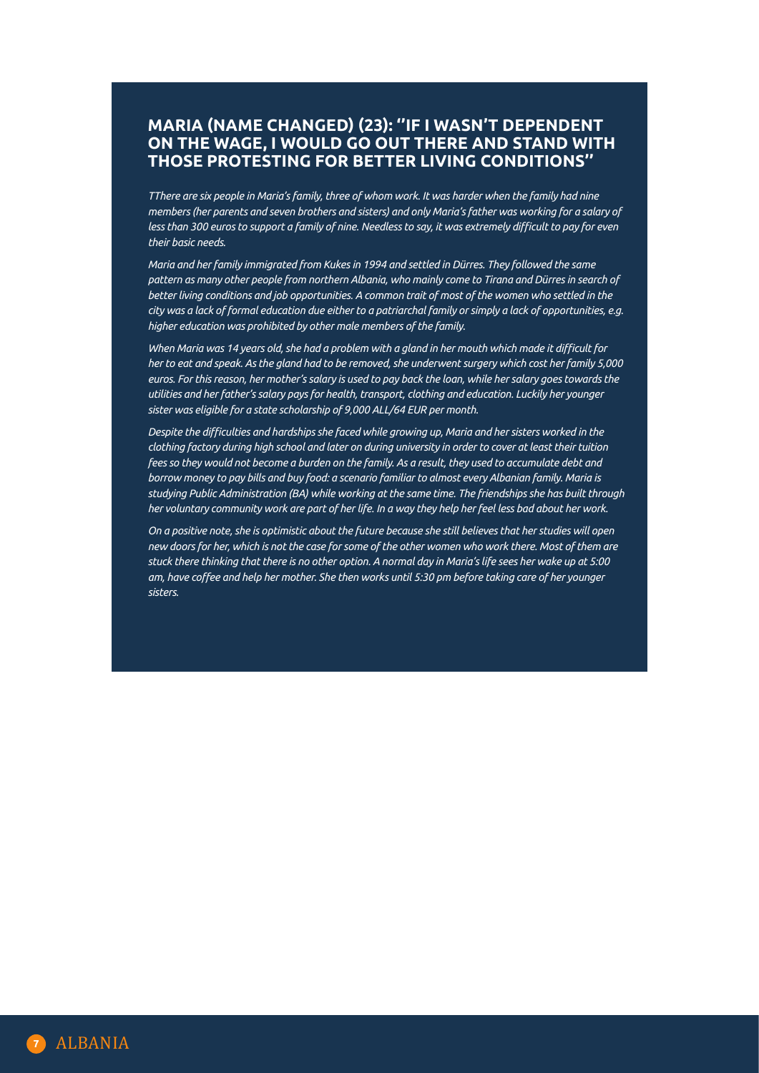## **MARIA (NAME CHANGED) (23): ''IF I WASN'T DEPENDENT ON THE WAGE, I WOULD GO OUT THERE AND STAND WITH THOSE PROTESTING FOR BETTER LIVING CONDITIONS''**

*TThere are six people in Maria's family, three of whom work. It was harder when the family had nine members (her parents and seven brothers and sisters) and only Maria's father was working for a salary of less than 300 euros to support a family of nine. Needless to say, it was extremely difficult to pay for even their basic needs.*

*Maria and her family immigrated from Kukes in 1994 and settled in Dürres. They followed the same pattern as many other people from northern Albania, who mainly come to Tirana and Dürres in search of better living conditions and job opportunities. A common trait of most of the women who settled in the city was a lack of formal education due either to a patriarchal family or simply a lack of opportunities, e.g. higher education was prohibited by other male members of the family.* 

*When Maria was 14 years old, she had a problem with a gland in her mouth which made it difficult for her to eat and speak. As the gland had to be removed, she underwent surgery which cost her family 5,000 euros. For this reason, her mother's salary is used to pay back the loan, while her salary goes towards the utilities and her father's salary pays for health, transport, clothing and education. Luckily her younger sister was eligible for a state scholarship of 9,000 ALL/64 EUR per month.* 

*Despite the difficulties and hardships she faced while growing up, Maria and her sisters worked in the clothing factory during high school and later on during university in order to cover at least their tuition fees so they would not become a burden on the family. As a result, they used to accumulate debt and borrow money to pay bills and buy food: a scenario familiar to almost every Albanian family. Maria is studying Public Administration (BA) while working at the same time. The friendships she has built through her voluntary community work are part of her life. In a way they help her feel less bad about her work.* 

*On a positive note, she is optimistic about the future because she still believes that her studies will open new doors for her, which is not the case for some of the other women who work there. Most of them are stuck there thinking that there is no other option. A normal day in Maria's life sees her wake up at 5:00 am, have coffee and help her mother. She then works until 5:30 pm before taking care of her younger sisters.*